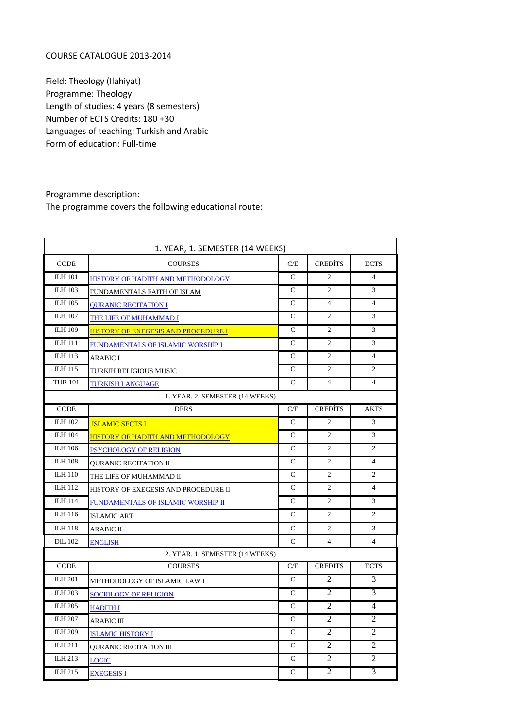## COURSE CATALOGUE 2013-2014

Field: Theology (Ilahiyat) Programme: Theology Length of studies: 4 years (8 semesters) Number of ECTS Credits: 180 +30 Languages of teaching: Turkish and Arabic Form of education: Full-time

Programme description: The programme covers the following educational route:

| 1. YEAR, 1. SEMESTER (14 WEEKS) |                                      |               |                |                          |
|---------------------------------|--------------------------------------|---------------|----------------|--------------------------|
| <b>CODE</b>                     | <b>COURSES</b>                       | C/E           | <b>CREDITS</b> | <b>ECTS</b>              |
| <b>ILH 101</b>                  | HISTORY OF HADITH AND METHODOLOGY    | $\mathbf C$   | $\overline{2}$ | $\overline{\mathcal{L}}$ |
| <b>ILH 103</b>                  | FUNDAMENTALS FAITH OF ISLAM          | $\mathsf{C}$  | $\overline{2}$ | 3                        |
| <b>ILH 105</b>                  | <b>QURANIC RECITATION I</b>          | $\mathcal{C}$ | $\overline{4}$ | $\overline{4}$           |
| <b>ILH 107</b>                  | THE LIFE OF MUHAMMAD I               | $\mathcal{C}$ | 2              | 3                        |
| <b>ILH 109</b>                  | HISTORY OF EXEGESIS AND PROCEDURE I  | $\mathsf{C}$  | 2              | 3                        |
| <b>ILH 111</b>                  | FUNDAMENTALS OF ISLAMIC WORSHIP I    | C             | 2              | 3                        |
| ILH 113                         | <b>ARABIC I</b>                      | $\mathsf{C}$  | 2              | $\overline{4}$           |
| ILH 115                         | TURKIH RELIGIOUS MUSIC               | $\mathbf C$   | $\overline{c}$ | 2                        |
| <b>TUR 101</b>                  | <b>TURKISH LANGUAGE</b>              | $\mathsf{C}$  | 4              | $\overline{4}$           |
|                                 | 1. YEAR, 2. SEMESTER (14 WEEKS)      |               |                |                          |
| <b>CODE</b>                     | <b>DERS</b>                          | C/E           | <b>CREDITS</b> | <b>AKTS</b>              |
| <b>ILH 102</b>                  | <b>ISLAMIC SECTS I</b>               | $\mathsf{C}$  | 2              | 3                        |
| <b>ILH 104</b>                  | HISTORY OF HADITH AND METHODOLOGY    | $\mathsf{C}$  | $\mathbf{2}$   | 3                        |
| <b>ILH 106</b>                  | PSYCHOLOGY OF RELIGION               | $\mathsf{C}$  | $\overline{c}$ | $\mathfrak{2}$           |
| <b>ILH 108</b>                  | QURANIC RECITATION II                | $\mathsf{C}$  | 2              | $\overline{4}$           |
| <b>ILH 110</b>                  | THE LIFE OF MUHAMMAD II              | $\mathsf{C}$  | 2              | 2                        |
| <b>ILH 112</b>                  | HISTORY OF EXEGESIS AND PROCEDURE II | $\mathcal{C}$ | 2              | $\overline{4}$           |
| <b>ILH 114</b>                  | FUNDAMENTALS OF ISLAMIC WORSHIP II   | $\mathcal{C}$ | 2              | 3                        |
| ILH 116                         | <b>ISLAMIC ART</b>                   | $\mathsf{C}$  | $\overline{c}$ | 2                        |
| <b>ILH 118</b>                  | <b>ARABIC II</b>                     | $\mathsf{C}$  | $\overline{c}$ | 3                        |
| <b>DIL</b> 102                  | <b>ENGLISH</b>                       | $\mathcal{C}$ | $\overline{4}$ | $\overline{4}$           |
|                                 | 2. YEAR, 1. SEMESTER (14 WEEKS)      |               |                |                          |
| <b>CODE</b>                     | <b>COURSES</b>                       | C/E           | <b>CREDITS</b> | <b>ECTS</b>              |
| <b>ILH 201</b>                  | METHODOLOGY OF ISLAMIC LAW I         | $\mathbf C$   | 2              | 3                        |
| <b>ILH 203</b>                  | <b>SOCIOLOGY OF RELIGION</b>         | $\mathsf{C}$  | 2              | 3                        |
| ILH 205                         | <b>HADITH I</b>                      | $\mathsf{C}$  | $\overline{c}$ | 4                        |
| <b>ILH 207</b>                  | <b>ARABIC III</b>                    | $\mathcal{C}$ | $\overline{2}$ | $\overline{2}$           |
| <b>ILH 209</b>                  | <b>ISLAMIC HISTORY I</b>             | C             | $\overline{2}$ | 2                        |
| ILH 211                         | <b>OURANIC RECITATION III</b>        | $\mathsf{C}$  | $\overline{2}$ | $\overline{c}$           |
| ILH 213                         | <b>LOGIC</b>                         | $\mathsf{C}$  | $\overline{c}$ | $\overline{2}$           |
| ILH 215                         | <b>EXEGESIS I</b>                    | $\mathsf{C}$  | $\overline{2}$ | 3                        |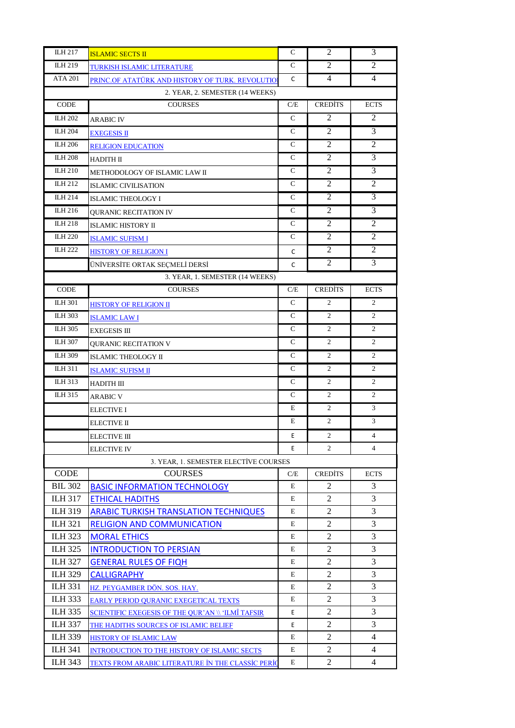| ILH 217        | <b>ISLAMIC SECTS II</b>                                  | C             | 2                   | 3                   |
|----------------|----------------------------------------------------------|---------------|---------------------|---------------------|
| ILH 219        | TURKISH ISLAMIC LITERATURE                               | C             | 2                   | $\overline{2}$      |
| <b>ATA 201</b> | PRINC.OF ATATÜRK AND HISTORY OF TURK. REVOLUTIOI         | C             | 4                   | 4                   |
|                | 2. YEAR, 2. SEMESTER (14 WEEKS)                          |               |                     |                     |
| <b>CODE</b>    | <b>COURSES</b>                                           | C/E           | <b>CREDITS</b>      | <b>ECTS</b>         |
| <b>ILH 202</b> | ARABIC IV                                                | $\mathcal{C}$ | 2                   | 2                   |
| <b>ILH 204</b> | <b>EXEGESIS II</b>                                       | $\mathsf{C}$  | $\overline{2}$      | 3                   |
| <b>ILH 206</b> | <b>RELIGION EDUCATION</b>                                | C             | 2                   | 2                   |
| <b>ILH 208</b> | <b>HADITH II</b>                                         | $\mathsf{C}$  | 2                   | 3                   |
| <b>ILH 210</b> | METHODOLOGY OF ISLAMIC LAW II                            | C             | 2                   | 3                   |
| ILH 212        | <b>ISLAMIC CIVILISATION</b>                              | $\mathsf{C}$  | 2                   | 2                   |
| <b>ILH 214</b> | <b>ISLAMIC THEOLOGY I</b>                                | $\mathcal{C}$ | 2                   | 3                   |
| ILH 216        | <b>QURANIC RECITATION IV</b>                             | C             | $\overline{2}$      | 3                   |
| ILH 218        | ISLAMIC HISTORY II                                       | C             | 2                   | 2                   |
| <b>ILH 220</b> | <b>ISLAMIC SUFISM I</b>                                  | $\mathcal{C}$ | $\overline{2}$      | 2                   |
| <b>ILH 222</b> | HISTORY OF RELIGION I                                    | C             | 2                   | 2                   |
|                | ÜNİVERSİTE ORTAK SEÇMELİ DERSİ                           | C             | 2                   | 3                   |
|                | 3. YEAR, 1. SEMESTER (14 WEEKS)                          |               |                     |                     |
| CODE           | <b>COURSES</b>                                           | C/E           | <b>CREDITS</b>      | <b>ECTS</b>         |
| <b>ILH 301</b> | <b>HISTORY OF RELIGION II</b>                            | $\mathcal{C}$ | 2                   | 2                   |
| ILH 303        | <b>ISLAMIC LAW I</b>                                     | C             | 2                   | 2                   |
| <b>ILH 305</b> | <b>EXEGESIS III</b>                                      | $\mathcal{C}$ | $\overline{2}$      | $\overline{2}$      |
| <b>ILH 307</b> | <b>QURANIC RECITATION V</b>                              | C             | 2                   | 2                   |
| <b>ILH 309</b> | ISLAMIC THEOLOGY II                                      | C             | $\overline{2}$      | 2                   |
| ILH 311        | <b>ISLAMIC SUFISM II</b>                                 | C             | 2                   | 2                   |
| ILH 313        | HADITH III                                               | C             | 2                   | 2                   |
| ILH 315        | <b>ARABIC V</b>                                          | C             | 2                   | 2                   |
|                | ELECTIVE I                                               | Е             | $\overline{2}$      | 3                   |
|                | ELECTIVE II                                              | E             | 2                   | 3                   |
|                | ELECTIVE III                                             | E             | $\mathbf{z}$        | 4                   |
|                | <b>ELECTIVE IV</b>                                       | E             | $\overline{2}$      | 4                   |
|                | 3. YEAR, 1. SEMESTER ELECTIVE COURSES                    |               |                     |                     |
| <b>CODE</b>    | <b>COURSES</b>                                           | C/E           | <b>CREDITS</b>      | <b>ECTS</b>         |
| <b>BIL 302</b> | <b>BASIC INFORMATION TECHNOLOGY</b>                      | E             | $\overline{c}$      | 3                   |
| <b>ILH 317</b> | <b>ETHICAL HADITHS</b>                                   | E             | 2                   | 3                   |
| <b>ILH 319</b> | <b>ARABIC TURKISH TRANSLATION TECHNIQUES</b>             | E             | 2                   | 3                   |
| <b>ILH 321</b> | <b>RELIGION AND COMMUNICATION</b>                        | E             | $\overline{2}$      | 3                   |
| <b>ILH 323</b> | <b>MORAL ETHICS</b>                                      | E             | 2                   | 3                   |
| <b>ILH 325</b> | <b>INTRODUCTION TO PERSIAN</b>                           | E             | 2                   | 3                   |
| <b>ILH 327</b> | <b>GENERAL RULES OF FIQH</b>                             | E             | 2                   | 3                   |
| <b>ILH 329</b> | <b>CALLIGRAPHY</b>                                       | E             | $\overline{c}$      | 3                   |
| <b>ILH 331</b> | HZ. PEYGAMBER DÖN. SOS. HAY.                             | E             | $\overline{c}$      | 3                   |
| <b>ILH 333</b> | EARLY PERIOD QURANIC EXEGETICAL TEXTS                    | E             | 2                   | 3                   |
| <b>ILH 335</b> | SCIENTIFIC EXEGESIS OF THE QUR'AN \\ 'ILMÎ TAFSIR        | E             | 2                   | 3                   |
| <b>ILH 337</b> | THE HADITHS SOURCES OF ISLAMIC BELIEF                    | Е             | 2                   | 3                   |
| <b>ILH 339</b> | <b>HISTORY OF ISLAMIC LAW</b>                            | E             | $\overline{2}$      | $\overline{4}$<br>4 |
| <b>ILH 341</b> | INTRODUCTION TO THE HISTORY OF ISLAMIC SECTS             | E<br>E        | $\overline{c}$<br>2 |                     |
| <b>ILH 343</b> | <u>TEXTS FROM ARABIC LITERATURE İN THE CLASSİC PERİQ</u> |               |                     | 4                   |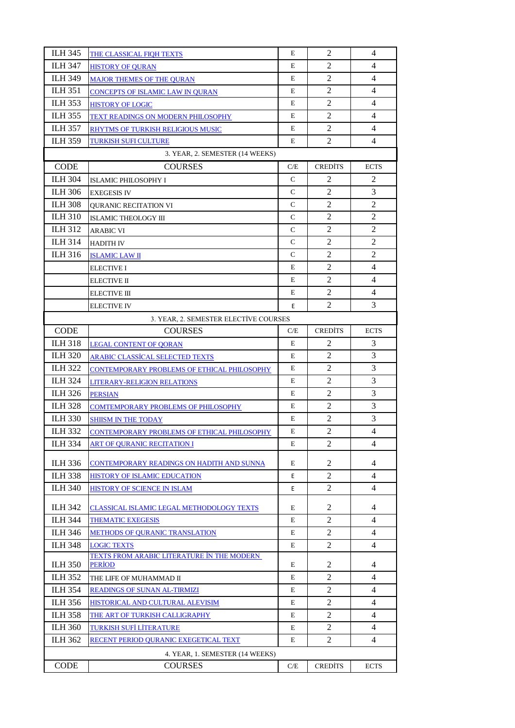| <b>ILH 345</b> | THE CLASSICAL FIQH TEXTS                    | E             | 2                | 4                   |
|----------------|---------------------------------------------|---------------|------------------|---------------------|
| <b>ILH 347</b> | <b>HISTORY OF QURAN</b>                     | E             | 2                | 4                   |
| <b>ILH 349</b> | <b>MAJOR THEMES OF THE QURAN</b>            | E             | $\overline{2}$   | 4                   |
| <b>ILH 351</b> | <b>CONCEPTS OF ISLAMIC LAW IN QURAN</b>     | E             | $\overline{2}$   | 4                   |
| <b>ILH 353</b> | <b>HISTORY OF LOGIC</b>                     | Е             | 2                | 4                   |
| <b>ILH 355</b> | <b>TEXT READINGS ON MODERN PHILOSOPHY</b>   | E             | $\overline{c}$   | 4                   |
| <b>ILH 357</b> | RHYTMS OF TURKISH RELIGIOUS MUSIC           | E             | 2                | $\overline{4}$      |
| <b>ILH 359</b> | TURKISH SUFI CULTURE                        | E             | 2                | 4                   |
|                | 3. YEAR, 2. SEMESTER (14 WEEKS)             |               |                  |                     |
| <b>CODE</b>    | <b>COURSES</b>                              | C/E           | <b>CREDITS</b>   | <b>ECTS</b>         |
| <b>ILH 304</b> | ISLAMIC PHILOSOPHY I                        | $\mathsf{C}$  | 2                | $\overline{2}$      |
| <b>ILH 306</b> | <b>EXEGESIS IV</b>                          | $\mathsf{C}$  | $\overline{2}$   | 3                   |
| <b>ILH 308</b> | <b>OURANIC RECITATION VI</b>                | $\mathsf{C}$  | $\overline{2}$   | $\overline{2}$      |
| <b>ILH 310</b> | ISLAMIC THEOLOGY III                        | $\mathcal{C}$ | $\overline{c}$   | $\mathbf{2}$        |
| <b>ILH 312</b> | <b>ARABIC VI</b>                            | $\mathsf{C}$  | 2                | 2                   |
| <b>ILH 314</b> |                                             | $\mathsf{C}$  | 2                | $\overline{2}$      |
| <b>ILH 316</b> | <b>HADITH IV</b>                            | $\mathsf{C}$  | $\overline{2}$   | $\overline{c}$      |
|                | <b>ISLAMIC LAW II</b>                       | E             | $\overline{2}$   | 4                   |
|                | <b>ELECTIVE I</b>                           |               |                  |                     |
|                | <b>ELECTIVE II</b>                          | Е             | $\overline{c}$   | 4<br>$\overline{4}$ |
|                | <b>ELECTIVE III</b>                         | E             | $\overline{2}$   |                     |
|                | ELECTIVE IV                                 | E             | 2                | 3                   |
|                | 3. YEAR, 2. SEMESTER ELECTIVE COURSES       |               |                  |                     |
| <b>CODE</b>    | <b>COURSES</b>                              | C/E           | <b>CREDITS</b>   | <b>ECTS</b>         |
| <b>ILH 318</b> | <b>LEGAL CONTENT OF QORAN</b>               | E             | 2                | 3                   |
| <b>ILH 320</b> | <b>ARABIC CLASSICAL SELECTED TEXTS</b>      | E             | 2                | 3                   |
| <b>ILH 322</b> | CONTEMPORARY PROBLEMS OF ETHICAL PHILOSOPHY | E             | $\overline{2}$   | 3                   |
| <b>ILH 324</b> | LITERARY-RELIGION RELATIONS                 | E             | $\overline{2}$   | 3                   |
| <b>ILH 326</b> | <b>PERSIAN</b>                              | E             | $\boldsymbol{2}$ | 3                   |
| <b>ILH 328</b> | <b>COMTEMPORARY PROBLEMS OF PHILOSOPHY</b>  | E             | 2                | 3                   |
| <b>ILH 330</b> | <b>SHIISM IN THE TODAY</b>                  | E             | 2                | 3                   |
| <b>ILH 332</b> | CONTEMPORARY PROBLEMS OF ETHICAL PHILOSOPHY | E             | $\overline{2}$   | 4                   |
| <b>ILH 334</b> | <b>ART OF QURANIC RECITATION I</b>          | E             | 2                | 4                   |
| ILH 336        | CONTEMPORARY READINGS ON HADITH AND SUNNA   | E             | 2                | 4                   |
| <b>ILH 338</b> | <b>HISTORY OF ISLAMIC EDUCATION</b>         | E             | 2                | 4                   |
| <b>ILH 340</b> | HISTORY OF SCIENCE IN ISLAM                 | E             | 2                | $\overline{4}$      |
| <b>ILH 342</b> | CLASSICAL ISLAMIC LEGAL METHODOLOGY TEXTS   | Е             | $\overline{c}$   | 4                   |
| <b>ILH 344</b> | <b>THEMATIC EXEGESIS</b>                    | E             | 2                | 4                   |
| <b>ILH 346</b> | <b>METHODS OF OURANIC TRANSLATION</b>       | Е             | 2                | 4                   |
| <b>ILH 348</b> | <b>LOGIC TEXTS</b>                          | E             | 2                | $\overline{4}$      |
|                | TEXTS FROM ARABIC LITERATURE IN THE MODERN  |               |                  |                     |
| <b>ILH 350</b> | <b>PERIOD</b>                               | Е             | $\overline{c}$   | 4                   |
| <b>ILH 352</b> | THE LIFE OF MUHAMMAD II                     | E             | 2                | 4                   |
| <b>ILH 354</b> | <b>READINGS OF SUNAN AL-TIRMIZI</b>         | Е             | 2                | 4                   |
| <b>ILH 356</b> | HISTORICAL AND CULTURAL ALEVISIM            | E             | 2                | 4                   |
| <b>ILH 358</b> | THE ART OF TURKISH CALLIGRAPHY              | E             | 2                | 4                   |
| <b>ILH 360</b> | TURKISH SUFI LITERATURE                     | E             | 2                | 4                   |
| <b>ILH 362</b> | RECENT PERIOD QURANIC EXEGETICAL TEXT       | E             | 2                | 4                   |
|                | 4. YEAR, 1. SEMESTER (14 WEEKS)             |               |                  |                     |
| <b>CODE</b>    | <b>COURSES</b>                              | C/E           | <b>CREDITS</b>   | <b>ECTS</b>         |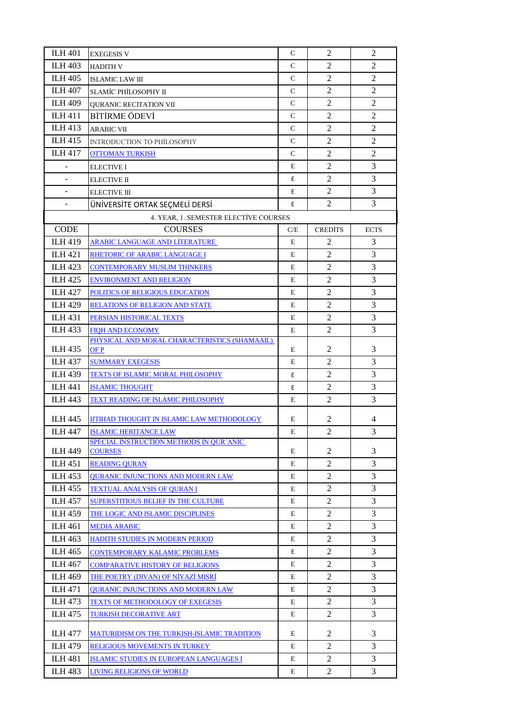| <b>ILH 401</b> | <b>EXEGESIS V</b>                                 | C             | $\overline{2}$ | 2              |
|----------------|---------------------------------------------------|---------------|----------------|----------------|
| <b>ILH 403</b> | <b>HADITH V</b>                                   | $\mathsf{C}$  | 2              | 2              |
| <b>ILH 405</b> | <b>ISLAMIC LAW III</b>                            | C             | $\mathfrak{2}$ | $\overline{2}$ |
| <b>ILH 407</b> | SLAMİC PHİLOSOPHY II                              | $\mathcal{C}$ | $\overline{2}$ | $\overline{c}$ |
| <b>ILH 409</b> | <b>OURANIC RECITATION VII</b>                     | C             | $\overline{2}$ | 2              |
| <b>ILH 411</b> | <b>BİTİRME ÖDEVİ</b>                              | $\mathsf{C}$  | $\overline{2}$ | $\overline{2}$ |
| <b>ILH 413</b> | <b>ARABIC VII</b>                                 | C             | 2              | 2              |
| <b>ILH 415</b> | <b>INTRODUCTION TO PHILOSOPHY</b>                 | C             | $\overline{2}$ | $\overline{2}$ |
| <b>ILH 417</b> | <b>OTTOMAN TURKISH</b>                            | $\mathcal{C}$ | $\overline{2}$ | $\overline{2}$ |
|                | <b>ELECTIVE I</b>                                 | E             | $\mathfrak{2}$ | 3              |
|                | <b>ELECTIVE II</b>                                | E             | $\overline{2}$ | 3              |
|                | <b>ELECTIVE III</b>                               | E             | 2              | 3              |
|                | ÜNİVERSİTE ORTAK SEÇMELİ DERSİ                    | E             | $\overline{2}$ | 3              |
|                | 4. YEAR, 1. SEMESTER ELECTIVE COURSES             |               |                |                |
| <b>CODE</b>    | <b>COURSES</b>                                    | C/E           | <b>CREDITS</b> | <b>ECTS</b>    |
| <b>ILH 419</b> | <b>ARABIC LANGUAGE AND LITERATURE</b>             | E             | 2              | 3              |
| <b>ILH 421</b> | RHETORIC OF ARABIC LANGUAGE I                     | E             | $\overline{c}$ | 3              |
| <b>ILH 423</b> | <b>CONTEMPORARY MUSLIM THINKERS</b>               | E             | $\overline{2}$ | 3              |
| <b>ILH 425</b> | <b>ENVIRONMENT AND RELIGION</b>                   | E             | $\overline{2}$ | 3              |
| <b>ILH 427</b> | POLITICS OF RELIGIOUS EDUCATION                   | E             | 2              | 3              |
| <b>ILH 429</b> | <b>RELATIONS OF RELIGION AND STATE</b>            | E             | 2              | 3              |
| <b>ILH 431</b> | PERSIAN HISTORICAL TEXTS                          | E             | $\mathfrak{2}$ | 3              |
| <b>ILH 433</b> | <b>FIQH AND ECONOMY</b>                           | E             | 2              | 3              |
|                | PHYSICAL AND MORAL CHARACTERISTICS (SHAMAAIL)     |               |                |                |
| <b>ILH 435</b> | OF P                                              | E             | $\overline{c}$ | 3              |
| <b>ILH 437</b> | <b>SUMMARY EXEGESIS</b>                           | E             | 2              | 3              |
| <b>ILH 439</b> | <b>TEXTS OF ISLAMIC MORAL PHILOSOPHY</b>          | E             | $\mathfrak{2}$ | 3              |
| <b>ILH 441</b> | <b>ISLAMIC THOUGHT</b>                            | E             | 2              | 3              |
| <b>ILH 443</b> | TEXT READING OF ISLAMIC PHILOSOPHY                | E             | $\overline{2}$ | 3              |
| <b>ILH 445</b> | <b>IJTIHAD THOUGHT IN ISLAMIC LAW METHODOLOGY</b> | E             | 2              | 4              |
| <b>ILH 447</b> | <b>ISLAMIC HERITANCE LAW</b>                      | ${\bf E}$     | $\overline{2}$ | 3              |
|                | SPECIAL INSTRUCTION METHODS IN OURTANIC           |               |                |                |
| <b>ILH 449</b> | <b>COURSES</b>                                    | E             | $\overline{c}$ | 3              |
| <b>ILH 451</b> | <b>READING QURAN</b>                              | E             | 2              | 3              |
| <b>ILH 453</b> | <b>QURANIC INJUNCTIONS AND MODERN LAW</b>         | E             | 2              | 3              |
| <b>ILH 455</b> | TEXTUAL ANALYSIS OF QURAN I                       | E             | $\overline{c}$ | 3              |
| <b>ILH 457</b> | <b>SUPERSTITIOUS BELIEF IN THE CULTURE</b>        | E             | 2              | 3              |
| <b>ILH 459</b> | THE LOGIC AND ISLAMIC DISCIPLINES                 | E             | $\overline{c}$ | 3              |
| <b>ILH 461</b> | <b>MEDIA ARABIC</b>                               | E             | $\overline{2}$ | 3              |
| ILH 463        | HADITH STUDIES IN MODERN PERIOD                   | E             | 2              | 3              |
| <b>ILH 465</b> | <b>CONTEMPORARY KALAMIC PROBLEMS</b>              | Е             | $\overline{2}$ | 3              |
| <b>ILH 467</b> | <b>COMPARATIVE HISTORY OF RELIGIONS</b>           | E             | 2              | 3              |
| <b>ILH 469</b> | THE POETRY (DIVAN) OF NIYAZI MISRI                | E             | $\overline{2}$ | 3              |
| <b>ILH 471</b> | <b>QURANIC INJUNCTIONS AND MODERN LAW</b>         | E             | $\overline{2}$ | 3              |
| <b>ILH 473</b> | <b>TEXTS OF METHODOLOGY OF EXEGESIS</b>           | E             | 2              | 3              |
| <b>ILH 475</b> | TURKISH DECORATIVE ART                            | E             | $\overline{2}$ | 3              |
| <b>ILH 477</b> | MATURIDISM ON THE TURKISH-ISLAMIC TRADITION       | E             | 2              | 3              |
| <b>ILH 479</b> | <b>RELIGIOUS MOVEMENTS IN TURKEY</b>              | E             | $\overline{2}$ | 3              |
| <b>ILH 481</b> | ISLAMIC STUDIES IN EUROPEAN LANGUAGES I           | E             | $\overline{2}$ | 3              |
| <b>ILH 483</b> | <b>LIVING RELIGIONS OF WORLD</b>                  | E             | $\overline{c}$ | 3              |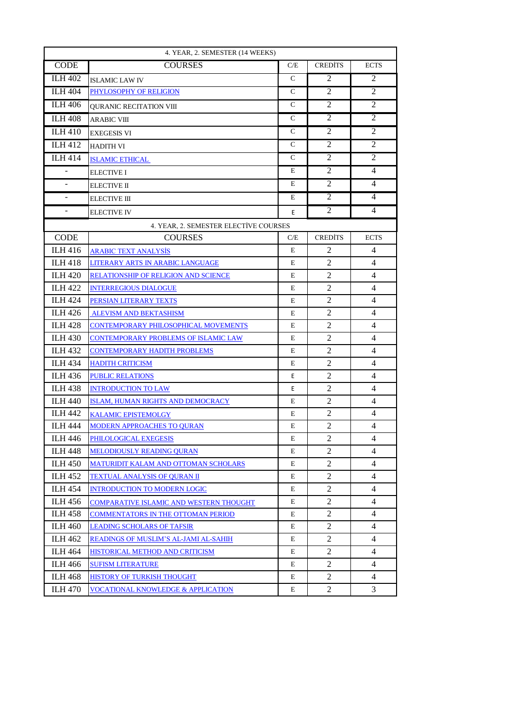| 4. YEAR, 2. SEMESTER (14 WEEKS) |                                               |               |                |                |
|---------------------------------|-----------------------------------------------|---------------|----------------|----------------|
| <b>CODE</b>                     | <b>COURSES</b>                                | C/E           | <b>CREDITS</b> | <b>ECTS</b>    |
| <b>ILH 402</b>                  | <b>ISLAMIC LAW IV</b>                         | $\mathcal{C}$ | 2              | 2              |
| <b>ILH 404</b>                  | PHYLOSOPHY OF RELIGION                        | C             | $\overline{2}$ | $\overline{2}$ |
| <b>ILH 406</b>                  | QURANIC RECITATION VIII                       | C             | $\overline{c}$ | 2              |
| <b>ILH 408</b>                  | <b>ARABIC VIII</b>                            | $\mathsf{C}$  | 2              | $\overline{2}$ |
| <b>ILH 410</b>                  | <b>EXEGESIS VI</b>                            | $\mathsf{C}$  | 2              | 2              |
| <b>ILH 412</b>                  | HADITH VI                                     | $\mathcal{C}$ | 2              | 2              |
| <b>ILH 414</b>                  | <b>ISLAMIC ETHICAL</b>                        | $\mathcal{C}$ | $\overline{2}$ | $\overline{2}$ |
|                                 | ELECTIVE I                                    | Е             | 2              | $\overline{4}$ |
| $\blacksquare$                  | <b>ELECTIVE II</b>                            | Ε             | $\overline{2}$ | 4              |
| $\blacksquare$                  | <b>ELECTIVE III</b>                           | Ε             | 2              | $\overline{4}$ |
| $\blacksquare$                  | <b>ELECTIVE IV</b>                            | E             | 2              | $\overline{4}$ |
|                                 | 4. YEAR, 2. SEMESTER ELECTIVE COURSES         |               |                |                |
| <b>CODE</b>                     | <b>COURSES</b>                                | C/E           | <b>CREDITS</b> | <b>ECTS</b>    |
| <b>ILH 416</b>                  | ARABIC TEXT ANALYSİS                          | E             | 2              | 4              |
| <b>ILH 418</b>                  | LITERARY ARTS IN ARABIC LANGUAGE              | Ε             | 2              | $\overline{4}$ |
| <b>ILH 420</b>                  | <b>RELATIONSHIP OF RELIGION AND SCIENCE</b>   | Ε             | 2              | 4              |
| <b>ILH 422</b>                  | <b>INTERREGIOUS DIALOGUE</b>                  | Ε             | 2              | 4              |
| <b>ILH 424</b>                  | PERSIAN LITERARY TEXTS                        | E             | $\overline{2}$ | 4              |
| <b>ILH 426</b>                  | <b>ALEVISM AND BEKTASHISM</b>                 | E             | $\overline{2}$ | 4              |
| <b>ILH 428</b>                  | CONTEMPORARY PHILOSOPHICAL MOVEMENTS          | E             | $\overline{2}$ | 4              |
| <b>ILH 430</b>                  | CONTEMPORARY PROBLEMS OF ISLAMIC LAW          | Ε             | $\overline{c}$ | 4              |
| <b>ILH 432</b>                  | <b>CONTEMPORARY HADITH PROBLEMS</b>           | E             | $\overline{2}$ | $\overline{4}$ |
| <b>ILH 434</b>                  | <b>HADITH CRITICISM</b>                       | E             | $\overline{2}$ | 4              |
| <b>ILH 436</b>                  | <b>PUBLIC RELATIONS</b>                       | Е             | 2              | 4              |
| <b>ILH 438</b>                  | <b>INTRODUCTION TO LAW</b>                    | E             | 2              | 4              |
| <b>ILH 440</b>                  | ISLAM, HUMAN RIGHTS AND DEMOCRACY             | E             | $\overline{2}$ | 4              |
| <b>ILH 442</b>                  | <b>KALAMIC EPISTEMOLGY</b>                    | E             | $\overline{2}$ | 4              |
| <b>ILH 444</b>                  | MODERN APPROACHES TO QURAN                    | E             | $\mathfrak{2}$ | $\overline{4}$ |
| <b>ILH 446</b>                  | PHILOLOGICAL EXEGESIS                         | Е             | 2              | 4              |
| <b>ILH 448</b>                  | <b>MELODIOUSLY READING QURAN</b>              | E             | 2              | 4              |
| <b>ILH 450</b>                  | MATURIDIT KALAM AND OTTOMAN SCHOLARS          | E             | 2              | 4              |
| <b>ILH 452</b>                  | <b>TEXTUAL ANALYSIS OF QURAN II</b>           | Ε             | 2              | 4              |
| <b>ILH 454</b>                  | <b>INTRODUCTION TO MODERN LOGIC</b>           | Е             | 2              | 4              |
| <b>ILH 456</b>                  | COMPARATIVE ISLAMIC AND WESTERN THOUGHT       | E             | 2              | $\overline{4}$ |
| <b>ILH 458</b>                  | COMMENTATORS IN THE OTTOMAN PERIOD            | Ε             | 2              | 4              |
| <b>ILH 460</b>                  | <b>LEADING SCHOLARS OF TAFSIR</b>             | E             | 2              | 4              |
| <b>ILH 462</b>                  | READINGS OF MUSLIM'S AL-JAMI AL-SAHIH         | Ε             | 2              | 4              |
| <b>ILH 464</b>                  | HISTORICAL METHOD AND CRITICISM               | Ε             | 2              | 4              |
| <b>ILH 466</b>                  | <b>SUFISM LITERATURE</b>                      | Ε             | 2              | 4              |
| <b>ILH 468</b>                  | HISTORY OF TURKISH THOUGHT                    | E             | 2              | 4              |
| <b>ILH 470</b>                  | <b>VOCATIONAL KNOWLEDGE &amp; APPLICATION</b> | E             | 2              | 3              |